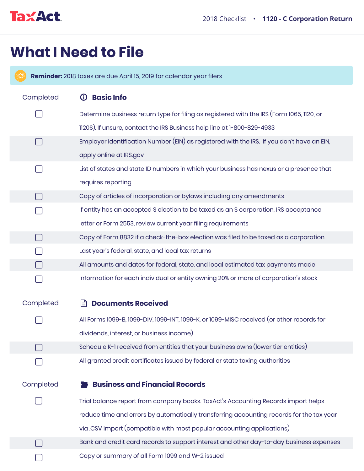

## **What I Need to File**

 $\left( 3\right)$ **Reminder:** 2018 taxes are due April 15, 2019 for calendar year filers

| Completed | <b>Basic Info</b>                                                                          |
|-----------|--------------------------------------------------------------------------------------------|
|           | Determine business return type for filing as registered with the IRS (Form 1065, 1120, or  |
|           | 1120S). If unsure, contact the IRS Business help line at 1-800-829-4933                    |
|           | Employer Identification Number (EIN) as registered with the IRS. If you don't have an EIN, |
|           | apply online at IRS.gov                                                                    |
|           | List of states and state ID numbers in which your business has nexus or a presence that    |
|           | requires reporting                                                                         |
|           | Copy of articles of incorporation or bylaws including any amendments                       |
|           | If entity has an accepted S election to be taxed as an S corporation, IRS acceptance       |
|           | letter or Form 2553, review current year filing requirements                               |
|           | Copy of Form 8832 if a check-the-box election was filed to be taxed as a corporation       |
|           | Last year's federal, state, and local tax returns                                          |
|           | All amounts and dates for federal, state, and local estimated tax payments made            |
|           | Information for each individual or entity owning 20% or more of corporation's stock        |
|           |                                                                                            |
| Completed | <b>Documents Received</b><br>l≝ੀ                                                           |
|           | All Forms 1099-B, 1099-DIV, 1099-INT, 1099-K, or 1099-MISC received (or other records for  |
|           | dividends, interest, or business income)                                                   |
|           | Schedule K-1 received from entities that your business owns (lower tier entities)          |
|           | All granted credit certificates issued by federal or state taxing authorities              |
|           |                                                                                            |
| Completed | <b>Business and Financial Records</b>                                                      |
|           | Trial balance report from company books. TaxAct's Accounting Records import helps          |
|           | reduce time and errors by automatically transferring accounting records for the tax year   |
|           | via .CSV import (compatible with most popular accounting applications)                     |
|           | Bank and credit card records to support interest and other day-to-day business expenses    |
|           | Copy or summary of all Form 1099 and W-2 issued                                            |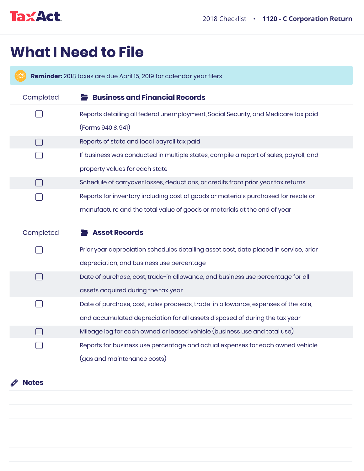

## **What I Need to File**

**Reminder:** 2018 taxes are due April 15, 2019 for calendar year filers Completed **Business and Financial Records** Reports detailing all federal unemployment, Social Security, and Medicare tax paid (Forms 940 & 941) Reports of state and local payroll tax paid  $\Box$ If business was conducted in multiple states, compile a report of sales, payroll, and property values for each state Schedule of carryover losses, deductions, or credits from prior year tax returns Reports for inventory including cost of goods or materials purchased for resale or manufacture and the total value of goods or materials at the end of year **Completed Asset Records** Prior year depreciation schedules detailing asset cost, date placed in service, prior depreciation, and business use percentage Date of purchase, cost, trade-in allowance, and business use percentage for all assets acquired during the tax year  $\Box$ Date of purchase, cost, sales proceeds, trade-in allowance, expenses of the sale, and accumulated depreciation for all assets disposed of during the tax year  $\Box$ Mileage log for each owned or leased vehicle (business use and total use)

Reports for business use percentage and actual expenses for each owned vehicle (gas and maintenance costs)

**Notes**